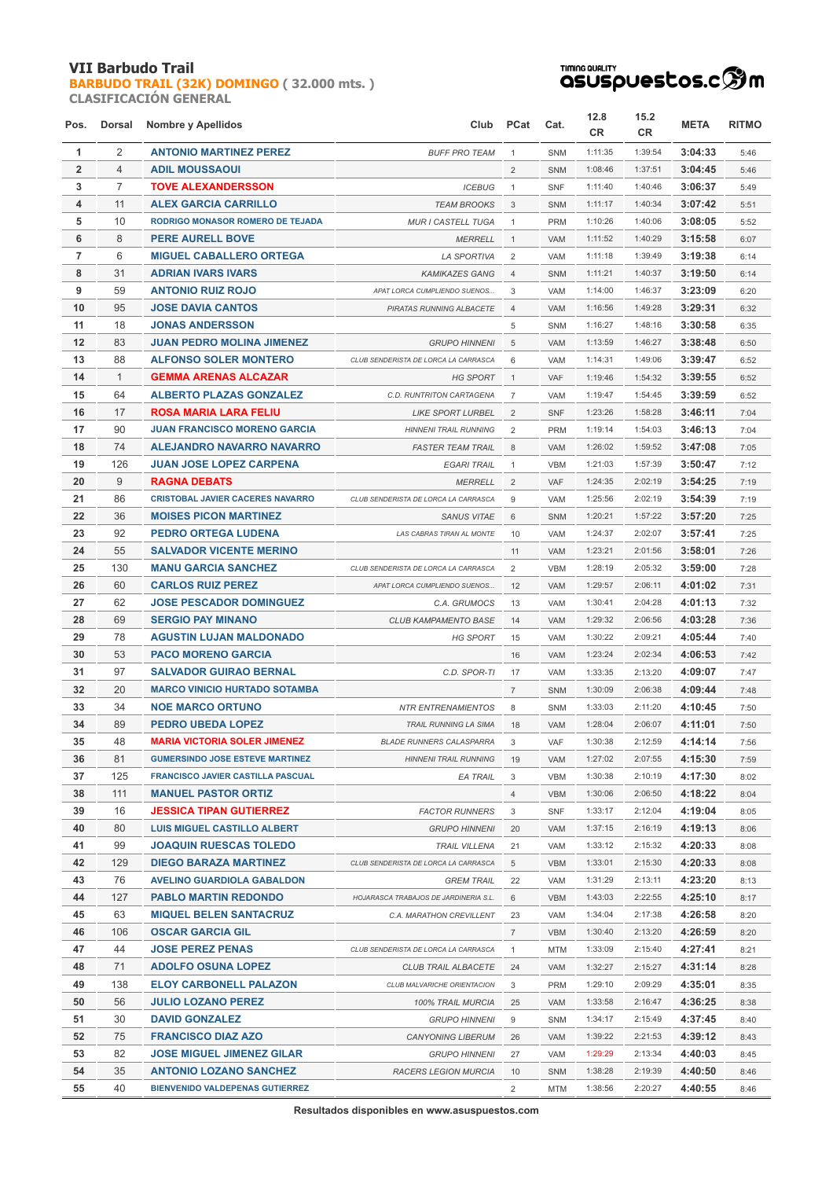## **VII Barbudo Trail**

**[BARBUDO TRAIL \(32K\) DOMINGO](http://localhost/inscripcionWEBHost/prueba.php?cod=89) ( 32.000 mts. ) CLASIFICACIÓN GENERAL**



| Pos.           |                | Dorsal Nombre y Apellidos                |                                       | Club PCat      | Cat.       | 12.8<br><b>CR</b> | 15.2<br>CR. | <b>META</b> | <b>RITMO</b> |
|----------------|----------------|------------------------------------------|---------------------------------------|----------------|------------|-------------------|-------------|-------------|--------------|
| 1              | 2              | <b>ANTONIO MARTINEZ PEREZ</b>            | <b>BUFF PRO TEAM</b>                  | $\mathbf{1}$   | SNM        | 1:11:35           | 1:39:54     | 3:04:33     | 5:46         |
| $\overline{2}$ | $\overline{4}$ | <b>ADIL MOUSSAOUI</b>                    |                                       | 2              | SNM        | 1:08:46           | 1:37:51     | 3:04:45     | 5:46         |
| 3              | $\overline{7}$ | <b>TOVE ALEXANDERSSON</b>                | <b>ICEBUG</b>                         | $\mathbf{1}$   | <b>SNF</b> | 1:11:40           | 1:40:46     | 3:06:37     | 5:49         |
| 4              | 11             | <b>ALEX GARCIA CARRILLO</b>              | <b>TEAM BROOKS</b>                    | 3              | SNM        | 1:11:17           | 1:40:34     | 3:07:42     | 5:51         |
| 5              | 10             | <b>RODRIGO MONASOR ROMERO DE TEJADA</b>  | <b>MUR I CASTELL TUGA</b>             | $\mathbf{1}$   | PRM        | 1:10:26           | 1:40:06     | 3:08:05     | 5:52         |
| 6              | 8              | <b>PERE AURELL BOVE</b>                  | <b>MERRELL</b>                        | $\mathbf{1}$   | VAM        | 1:11:52           | 1:40:29     | 3:15:58     | 6:07         |
| $\overline{7}$ | 6              | <b>MIGUEL CABALLERO ORTEGA</b>           | <b>LA SPORTIVA</b>                    | 2              | VAM        | 1:11:18           | 1:39:49     | 3:19:38     | 6:14         |
| 8              | 31             | <b>ADRIAN IVARS IVARS</b>                | <b>KAMIKAZES GANG</b>                 | $\overline{4}$ | SNM        | 1:11:21           | 1:40:37     | 3:19:50     | 6:14         |
| 9              | 59             | <b>ANTONIO RUIZ ROJO</b>                 | APAT LORCA CUMPLIENDO SUENOS          | 3              | VAM        | 1:14:00           | 1:46:37     | 3:23:09     | 6:20         |
| 10             | 95             | <b>JOSE DAVIA CANTOS</b>                 | PIRATAS RUNNING ALBACETE              | $\overline{4}$ | VAM        | 1:16:56           | 1:49:28     | 3:29:31     | 6:32         |
| 11             | 18             | <b>JONAS ANDERSSON</b>                   |                                       | 5              | <b>SNM</b> | 1:16:27           | 1:48:16     | 3:30:58     | 6:35         |
| 12             | 83             | <b>JUAN PEDRO MOLINA JIMENEZ</b>         | <b>GRUPO HINNENI</b>                  | 5              | <b>VAM</b> | 1:13:59           | 1:46:27     | 3:38:48     | 6:50         |
| 13             | 88             | <b>ALFONSO SOLER MONTERO</b>             | CLUB SENDERISTA DE LORCA LA CARRASCA  | 6              | VAM        | 1:14:31           | 1:49:06     | 3:39:47     | 6:52         |
| 14             | $\mathbf{1}$   | <b>GEMMA ARENAS ALCAZAR</b>              | <b>HG SPORT</b>                       | $\mathbf{1}$   | <b>VAF</b> | 1:19:46           | 1:54:32     | 3:39:55     | 6:52         |
| 15             | 64             | <b>ALBERTO PLAZAS GONZALEZ</b>           | C.D. RUNTRITON CARTAGENA              | $\overline{7}$ | <b>VAM</b> | 1:19:47           | 1:54:45     | 3:39:59     | 6:52         |
| 16             | 17             | <b>ROSA MARIA LARA FELIU</b>             | <b>LIKE SPORT LURBEL</b>              | 2              | <b>SNF</b> | 1:23:26           | 1:58:28     | 3:46:11     | 7:04         |
| 17             | 90             | <b>JUAN FRANCISCO MORENO GARCIA</b>      | <b>HINNENI TRAIL RUNNING</b>          | $\overline{2}$ | <b>PRM</b> | 1:19:14           | 1:54:03     | 3:46:13     | 7:04         |
| 18             | 74             | ALEJANDRO NAVARRO NAVARRO                | <b>FASTER TEAM TRAIL</b>              | 8              | VAM        | 1:26:02           | 1:59:52     | 3:47:08     | 7:05         |
| 19             | 126            | <b>JUAN JOSE LOPEZ CARPENA</b>           | <b>EGARI TRAIL</b>                    | $\mathbf{1}$   | VBM        | 1:21:03           | 1:57:39     | 3:50:47     | 7:12         |
| 20             | 9              | <b>RAGNA DEBATS</b>                      | <b>MERRELL</b>                        | $\overline{2}$ | <b>VAF</b> | 1:24:35           | 2:02:19     | 3:54:25     | 7:19         |
| 21             | 86             | <b>CRISTOBAL JAVIER CACERES NAVARRO</b>  | CLUB SENDERISTA DE LORCA LA CARRASCA  | 9              | VAM        | 1:25:56           | 2:02:19     | 3:54:39     | 7:19         |
| 22             | 36             | <b>MOISES PICON MARTINEZ</b>             | <b>SANUS VITAE</b>                    | 6              | SNM        | 1:20:21           | 1:57:22     | 3:57:20     | 7:25         |
| 23             | 92             | <b>PEDRO ORTEGA LUDENA</b>               | LAS CABRAS TIRAN AL MONTE             | 10             | VAM        | 1:24:37           | 2:02:07     | 3:57:41     | 7:25         |
| 24             | 55             | <b>SALVADOR VICENTE MERINO</b>           |                                       | 11             | VAM        | 1:23:21           | 2:01:56     | 3:58:01     | 7:26         |
| 25             | 130            | <b>MANU GARCIA SANCHEZ</b>               | CLUB SENDERISTA DE LORCA LA CARRASCA  | 2              | <b>VBM</b> | 1:28:19           | 2:05:32     | 3:59:00     | 7:28         |
| 26             | 60             | <b>CARLOS RUIZ PEREZ</b>                 | APAT LORCA CUMPLIENDO SUENOS          | 12             | <b>VAM</b> | 1:29:57           | 2:06:11     | 4:01:02     | 7:31         |
| 27             | 62             | <b>JOSE PESCADOR DOMINGUEZ</b>           | C.A. GRUMOCS                          | 13             | <b>VAM</b> | 1:30:41           | 2:04:28     | 4:01:13     | 7:32         |
| 28             | 69             | <b>SERGIO PAY MINANO</b>                 | <b>CLUB KAMPAMENTO BASE</b>           | 14             | VAM        | 1:29:32           | 2:06:56     | 4:03:28     | 7:36         |
| 29             | 78             | <b>AGUSTIN LUJAN MALDONADO</b>           | <b>HG SPORT</b>                       | 15             | VAM        | 1:30:22           | 2:09:21     | 4:05:44     | 7:40         |
| 30             | 53             | <b>PACO MORENO GARCIA</b>                |                                       | 16             | <b>VAM</b> | 1:23:24           | 2:02:34     | 4:06:53     | 7:42         |
| 31             | 97             | <b>SALVADOR GUIRAO BERNAL</b>            | C.D. SPOR-TI                          | 17             | <b>VAM</b> | 1:33:35           | 2:13:20     | 4:09:07     | 7:47         |
| 32             | 20             | <b>MARCO VINICIO HURTADO SOTAMBA</b>     |                                       | $\overline{7}$ | SNM        | 1:30:09           | 2:06:38     | 4:09:44     | 7:48         |
| 33             | 34             | <b>NOE MARCO ORTUNO</b>                  | <b>NTR ENTRENAMIENTOS</b>             | 8              | SNM        | 1:33:03           | 2:11:20     | 4:10:45     | 7:50         |
| 34             | 89             | <b>PEDRO UBEDA LOPEZ</b>                 | TRAIL RUNNING LA SIMA                 | 18             | <b>VAM</b> | 1:28:04           | 2:06:07     | 4:11:01     | 7:50         |
| 35             | 48             | <b>MARIA VICTORIA SOLER JIMENEZ</b>      | <b>BLADE RUNNERS CALASPARRA</b>       |                | VAF        | 1:30:38           | 2:12:59     | 4:14:14     | 7:56         |
| 36             | 81             | <b>GUMERSINDO JOSE ESTEVE MARTINEZ</b>   | <b>HINNENI TRAIL RUNNING</b>          | 19             | VAM        | 1:27:02           | 2:07:55     | 4:15:30     | 7:59         |
| 37             | 125            | <b>FRANCISCO JAVIER CASTILLA PASCUAL</b> | EA TRAIL                              | 3              | VBM        | 1:30:38           | 2:10:19     | 4:17:30     | 8:02         |
| 38             | 111            | <b>MANUEL PASTOR ORTIZ</b>               |                                       | $\overline{4}$ | <b>VBM</b> | 1:30:06           | 2:06:50     | 4:18:22     | 8:04         |
| 39             | 16             | <b>JESSICA TIPAN GUTIERREZ</b>           | <b>FACTOR RUNNERS</b>                 | 3              | <b>SNF</b> | 1:33:17           | 2:12:04     | 4:19:04     | 8:05         |
| 40             | 80             | <b>LUIS MIGUEL CASTILLO ALBERT</b>       | <b>GRUPO HINNENI</b>                  | 20             | VAM        | 1:37:15           | 2:16:19     | 4:19:13     | 8:06         |
| 41             | 99             | <b>JOAQUIN RUESCAS TOLEDO</b>            | <b>TRAIL VILLENA</b>                  | 21             | VAM        | 1:33:12           | 2:15:32     | 4:20:33     | 8:08         |
| 42             | 129            | <b>DIEGO BARAZA MARTINEZ</b>             | CLUB SENDERISTA DE LORCA LA CARRASCA  | 5              | <b>VBM</b> | 1:33:01           | 2:15:30     | 4:20:33     | 8:08         |
| 43             | 76             | <b>AVELINO GUARDIOLA GABALDON</b>        | <b>GREM TRAIL</b>                     | 22             | VAM        | 1:31:29           | 2:13:11     | 4:23:20     | 8:13         |
| 44             | 127            | <b>PABLO MARTIN REDONDO</b>              | HOJARASCA TRABAJOS DE JARDINERIA S.L. | 6              | <b>VBM</b> | 1:43:03           | 2:22:55     | 4:25:10     | 8:17         |
| 45             | 63             | <b>MIQUEL BELEN SANTACRUZ</b>            | C.A. MARATHON CREVILLENT              | 23             | VAM        | 1:34:04           | 2:17:38     | 4:26:58     | 8:20         |
| 46             | 106            | <b>OSCAR GARCIA GIL</b>                  |                                       | $\overline{7}$ | <b>VBM</b> | 1:30:40           | 2:13:20     | 4:26:59     | 8:20         |
| 47             | 44             | <b>JOSE PEREZ PENAS</b>                  | CLUB SENDERISTA DE LORCA LA CARRASCA  | $\mathbf{1}$   | <b>MTM</b> | 1:33:09           | 2:15:40     | 4:27:41     | 8:21         |
| 48             | 71             | <b>ADOLFO OSUNA LOPEZ</b>                | <b>CLUB TRAIL ALBACETE</b>            | 24             | VAM        | 1:32:27           | 2:15:27     | 4:31:14     | 8:28         |
| 49             | 138            | <b>ELOY CARBONELL PALAZON</b>            | CLUB MALVARICHE ORIENTACION           | 3              | <b>PRM</b> | 1:29:10           | 2:09:29     | 4:35:01     | 8:35         |
| 50             | 56             | <b>JULIO LOZANO PEREZ</b>                | 100% TRAIL MURCIA                     | 25             | VAM        | 1:33:58           | 2:16:47     | 4:36:25     | 8:38         |
| 51             | 30             | <b>DAVID GONZALEZ</b>                    | <b>GRUPO HINNENI</b>                  | 9              | SNM        | 1:34:17           | 2:15:49     | 4:37:45     | 8:40         |
| 52             | 75             | <b>FRANCISCO DIAZ AZO</b>                | <b>CANYONING LIBERUM</b>              | 26             | VAM        | 1:39:22           | 2:21:53     | 4:39:12     | 8:43         |
| 53             | 82             | <b>JOSE MIGUEL JIMENEZ GILAR</b>         | <b>GRUPO HINNENI</b>                  | 27             | VAM        | 1:29:29           | 2:13:34     | 4:40:03     | 8:45         |
| 54             | 35             | <b>ANTONIO LOZANO SANCHEZ</b>            | RACERS LEGION MURCIA                  | 10             | SNM        | 1:38:28           | 2:19:39     | 4:40:50     | 8:46         |
| 55             | 40             | <b>BIENVENIDO VALDEPENAS GUTIERREZ</b>   |                                       | $\overline{2}$ | MTM        | 1:38:56           | 2:20:27     | 4:40:55     | 8:46         |

**Resultados disponibles en www.asuspuestos.com**